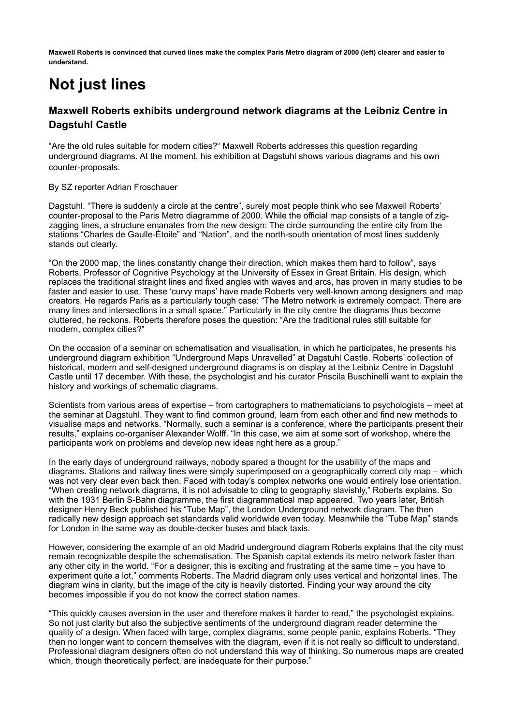**Maxwell Roberts is convinced that curved lines make the complex Paris Metro diagram of 2000 (left) clearer and easier to understand.**

## **Not just lines**

## **Maxwell Roberts exhibits underground network diagrams at the Leibniz Centre in Dagstuhl Castle**

"Are the old rules suitable for modern cities?" Maxwell Roberts addresses this question regarding underground diagrams. At the moment, his exhibition at Dagstuhl shows various diagrams and his own counter-proposals.

## By SZ reporter Adrian Froschauer

Dagstuhl. "There is suddenly a circle at the centre", surely most people think who see Maxwell Roberts' counter-proposal to the Paris Metro diagramme of 2000. While the official map consists of a tangle of zigzagging lines, a structure emanates from the new design: The circle surrounding the entire city from the stations "Charles de Gaulle-Étoile" and "Nation", and the north-south orientation of most lines suddenly stands out clearly.

"On the 2000 map, the lines constantly change their direction, which makes them hard to follow", says Roberts, Professor of Cognitive Psychology at the University of Essex in Great Britain. His design, which replaces the traditional straight lines and fixed angles with waves and arcs, has proven in many studies to be faster and easier to use. These 'curvy maps' have made Roberts very well-known among designers and map creators. He regards Paris as a particularly tough case: "The Metro network is extremely compact. There are many lines and intersections in a small space." Particularly in the city centre the diagrams thus become cluttered, he reckons. Roberts therefore poses the question: "Are the traditional rules still suitable for modern, complex cities?"

On the occasion of a seminar on schematisation and visualisation, in which he participates, he presents his underground diagram exhibition "Underground Maps Unravelled" at Dagstuhl Castle. Roberts' collection of historical, modern and self-designed underground diagrams is on display at the Leibniz Centre in Dagstuhl Castle until 17 december. With these, the psychologist and his curator Priscila Buschinelli want to explain the history and workings of schematic diagrams.

Scientists from various areas of expertise – from cartographers to mathematicians to psychologists – meet at the seminar at Dagstuhl. They want to find common ground, learn from each other and find new methods to visualise maps and networks. "Normally, such a seminar is a conference, where the participants present their results," explains co-organiser Alexander Wolff. "In this case, we aim at some sort of workshop, where the participants work on problems and develop new ideas right here as a group."

In the early days of underground railways, nobody spared a thought for the usability of the maps and diagrams. Stations and railway lines were simply superimposed on a geographically correct city map – which was not very clear even back then. Faced with today's complex networks one would entirely lose orientation. "When creating network diagrams, it is not advisable to cling to geography slavishly," Roberts explains. So with the 1931 Berlin S-Bahn diagramme, the first diagrammatical map appeared. Two years later, British designer Henry Beck published his "Tube Map", the London Underground network diagram. The then radically new design approach set standards valid worldwide even today. Meanwhile the "Tube Map" stands for London in the same way as double-decker buses and black taxis.

However, considering the example of an old Madrid underground diagram Roberts explains that the city must remain recognizable despite the schematisation. The Spanish capital extends its metro network faster than any other city in the world. "For a designer, this is exciting and frustrating at the same time – you have to experiment quite a lot," comments Roberts. The Madrid diagram only uses vertical and horizontal lines. The diagram wins in clarity, but the image of the city is heavily distorted. Finding your way around the city becomes impossible if you do not know the correct station names.

"This quickly causes aversion in the user and therefore makes it harder to read," the psychologist explains. So not just clarity but also the subjective sentiments of the underground diagram reader determine the quality of a design. When faced with large, complex diagrams, some people panic, explains Roberts. "They then no longer want to concern themselves with the diagram, even if it is not really so difficult to understand. Professional diagram designers often do not understand this way of thinking. So numerous maps are created which, though theoretically perfect, are inadequate for their purpose."